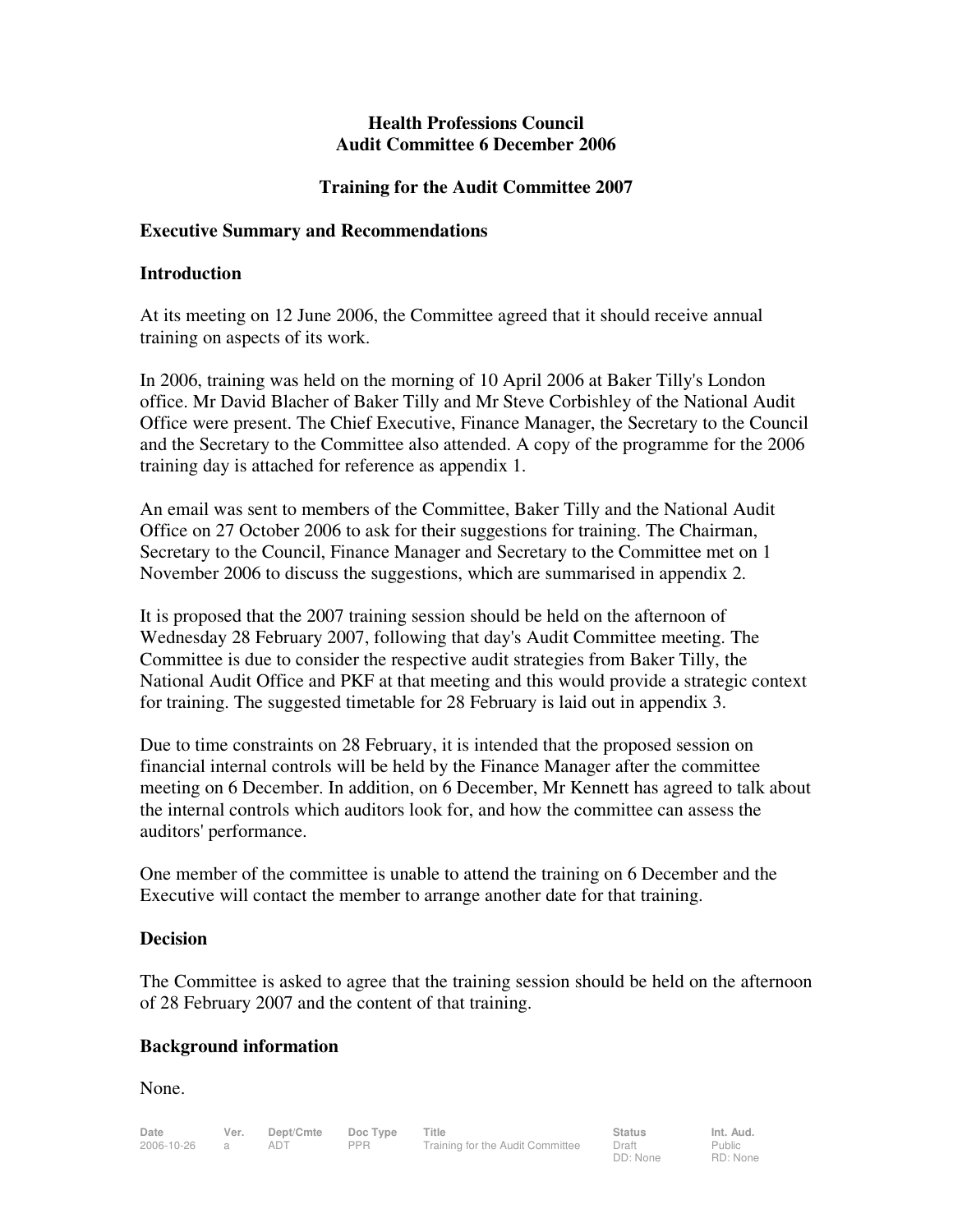## **Health Professions Council Audit Committee 6 December 2006**

# **Training for the Audit Committee 2007**

## **Executive Summary and Recommendations**

## **Introduction**

At its meeting on 12 June 2006, the Committee agreed that it should receive annual training on aspects of its work.

In 2006, training was held on the morning of 10 April 2006 at Baker Tilly's London office. Mr David Blacher of Baker Tilly and Mr Steve Corbishley of the National Audit Office were present. The Chief Executive, Finance Manager, the Secretary to the Council and the Secretary to the Committee also attended. A copy of the programme for the 2006 training day is attached for reference as appendix 1.

An email was sent to members of the Committee, Baker Tilly and the National Audit Office on 27 October 2006 to ask for their suggestions for training. The Chairman, Secretary to the Council, Finance Manager and Secretary to the Committee met on 1 November 2006 to discuss the suggestions, which are summarised in appendix 2.

It is proposed that the 2007 training session should be held on the afternoon of Wednesday 28 February 2007, following that day's Audit Committee meeting. The Committee is due to consider the respective audit strategies from Baker Tilly, the National Audit Office and PKF at that meeting and this would provide a strategic context for training. The suggested timetable for 28 February is laid out in appendix 3.

Due to time constraints on 28 February, it is intended that the proposed session on financial internal controls will be held by the Finance Manager after the committee meeting on 6 December. In addition, on 6 December, Mr Kennett has agreed to talk about the internal controls which auditors look for, and how the committee can assess the auditors' performance.

One member of the committee is unable to attend the training on 6 December and the Executive will contact the member to arrange another date for that training.

# **Decision**

The Committee is asked to agree that the training session should be held on the afternoon of 28 February 2007 and the content of that training.

# **Background information**

None.

DD: None

Public RD: None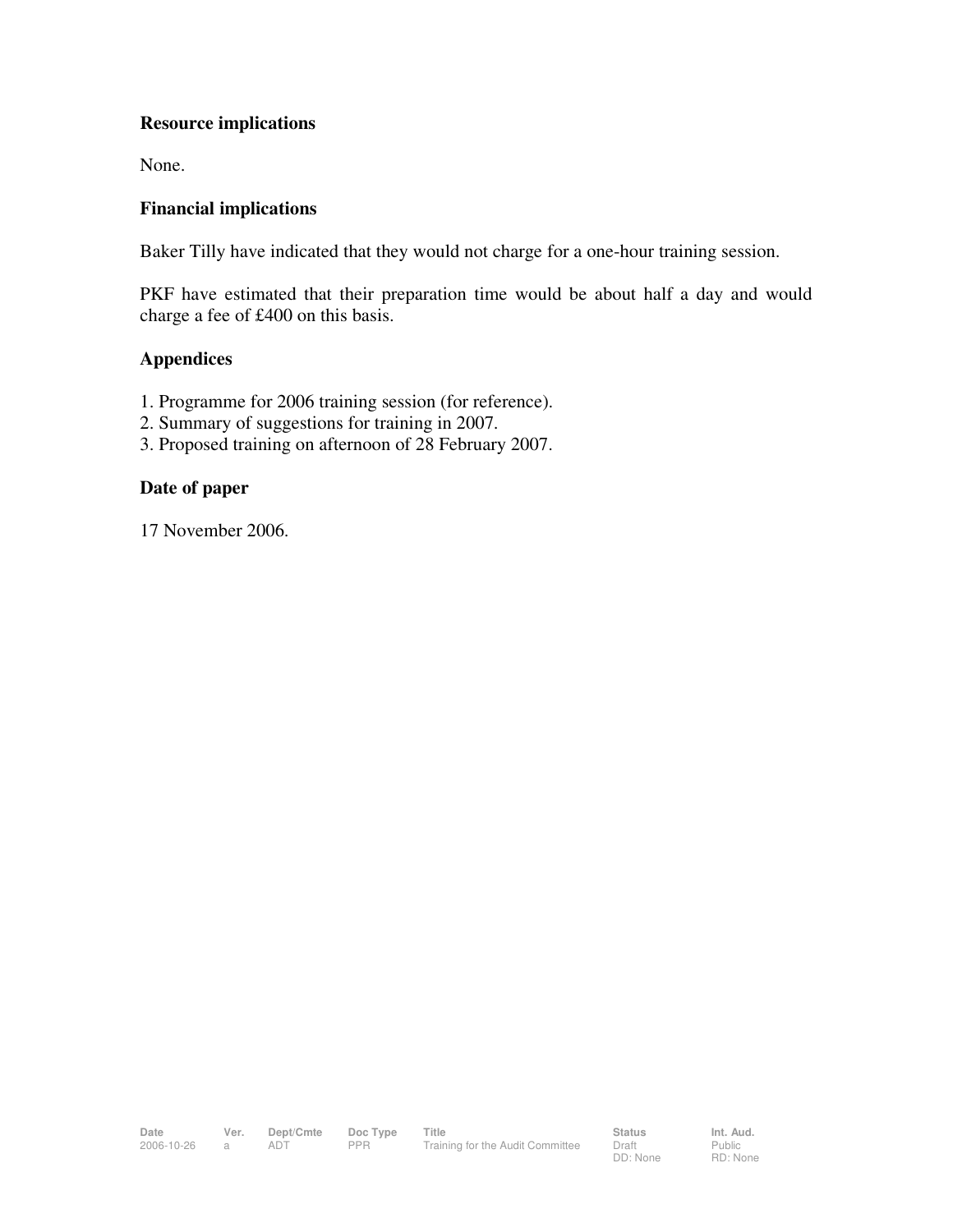# **Resource implications**

None.

## **Financial implications**

Baker Tilly have indicated that they would not charge for a one-hour training session.

PKF have estimated that their preparation time would be about half a day and would charge a fee of £400 on this basis.

## **Appendices**

- 1. Programme for 2006 training session (for reference).
- 2. Summary of suggestions for training in 2007.
- 3. Proposed training on afternoon of 28 February 2007.

### **Date of paper**

17 November 2006.

Public RD: None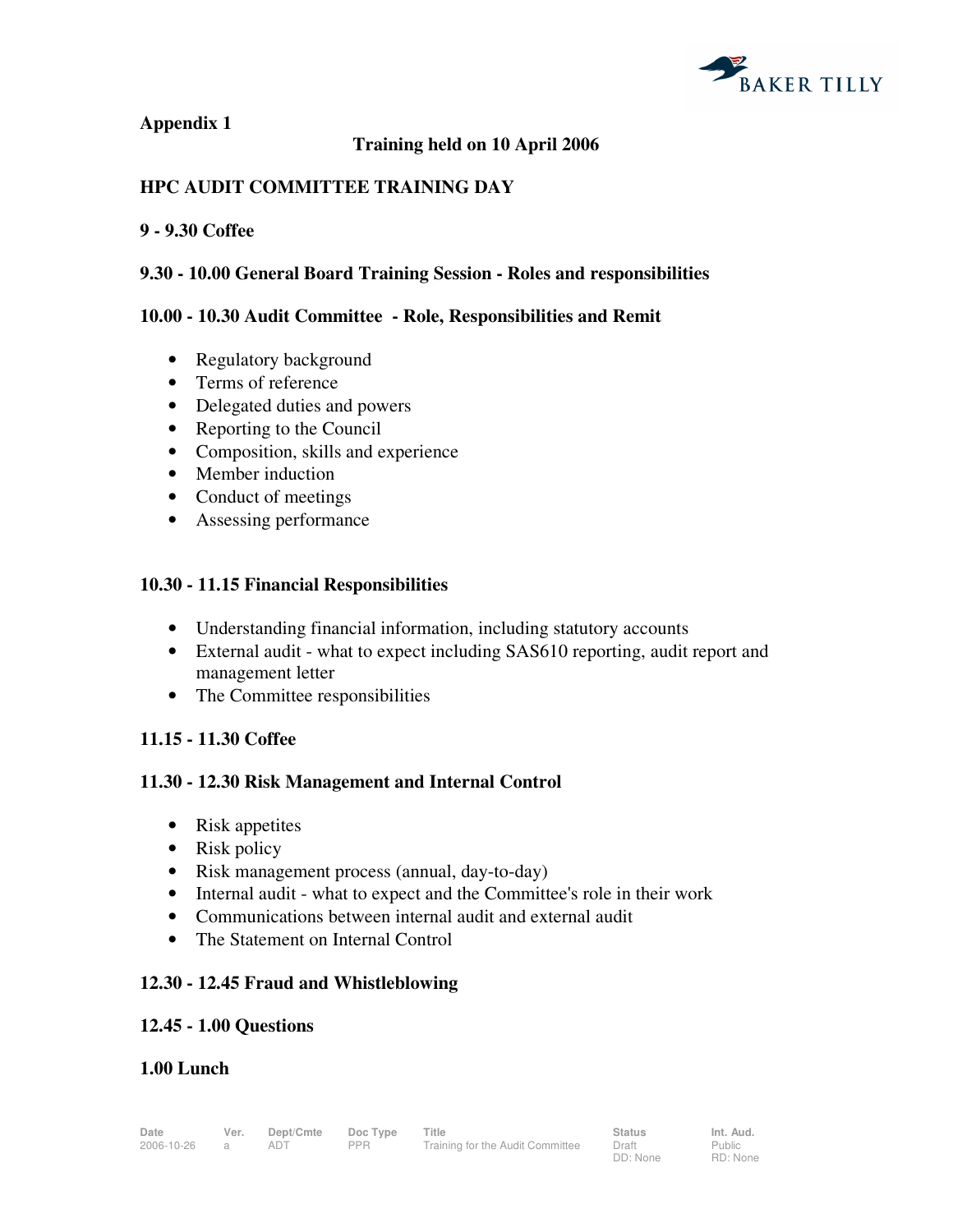

## **Appendix 1**

# **Training held on 10 April 2006**

# **HPC AUDIT COMMITTEE TRAINING DAY**

#### **9 - 9.30 Coffee**

### **9.30 - 10.00 General Board Training Session - Roles and responsibilities**

### **10.00 - 10.30 Audit Committee - Role, Responsibilities and Remit**

- Regulatory background
- Terms of reference
- Delegated duties and powers
- Reporting to the Council
- Composition, skills and experience
- Member induction
- Conduct of meetings
- Assessing performance

### **10.30 - 11.15 Financial Responsibilities**

- Understanding financial information, including statutory accounts
- External audit what to expect including SAS610 reporting, audit report and management letter
- The Committee responsibilities

### **11.15 - 11.30 Coffee**

### **11.30 - 12.30 Risk Management and Internal Control**

- Risk appetites
- Risk policy
- Risk management process (annual, day-to-day)
- Internal audit what to expect and the Committee's role in their work
- Communications between internal audit and external audit
- The Statement on Internal Control

### **12.30 - 12.45 Fraud and Whistleblowing**

### **12.45 - 1.00 Questions**

### **1.00 Lunch**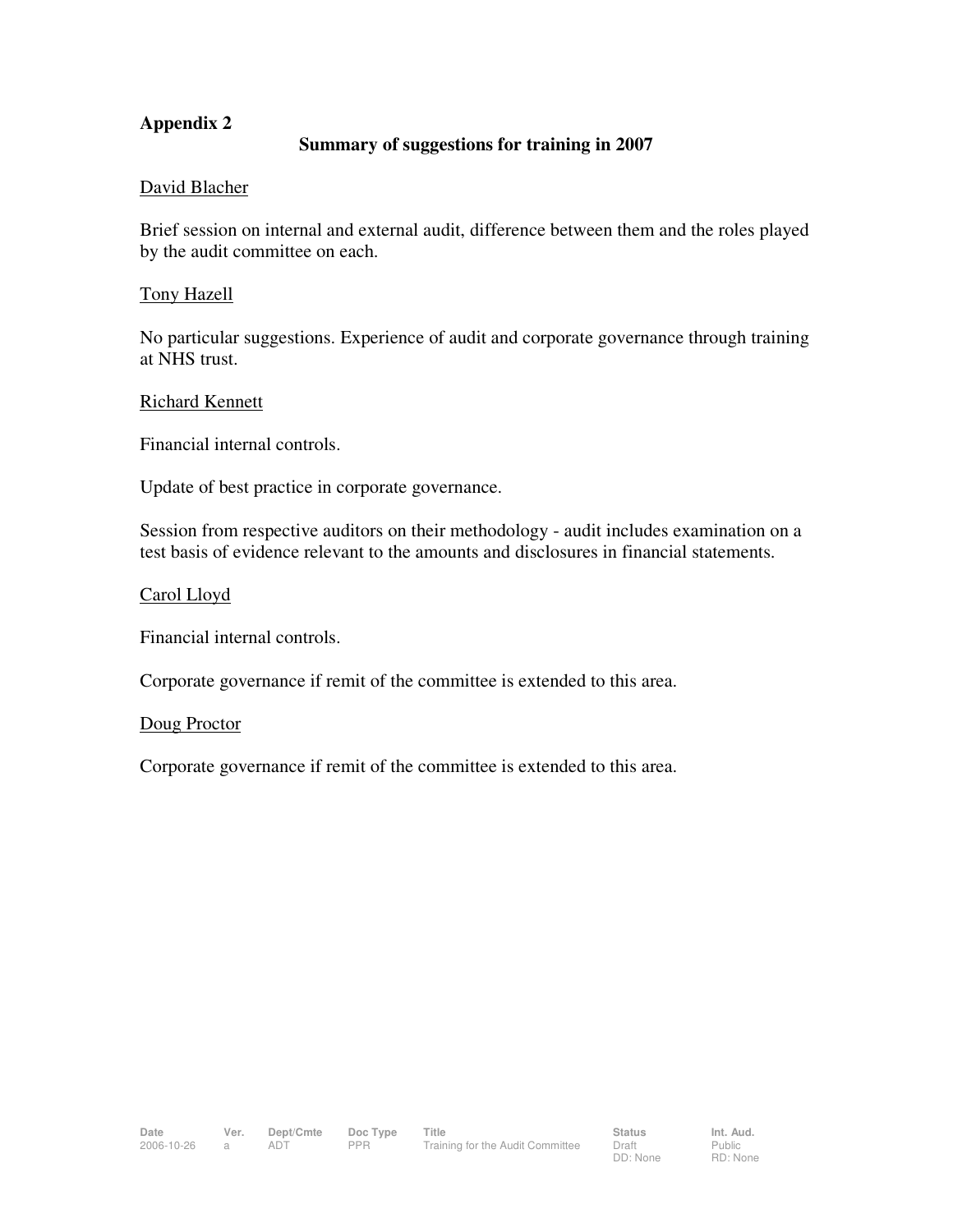# **Appendix 2**

### **Summary of suggestions for training in 2007**

#### David Blacher

Brief session on internal and external audit, difference between them and the roles played by the audit committee on each.

#### Tony Hazell

No particular suggestions. Experience of audit and corporate governance through training at NHS trust.

#### Richard Kennett

Financial internal controls.

Update of best practice in corporate governance.

Session from respective auditors on their methodology - audit includes examination on a test basis of evidence relevant to the amounts and disclosures in financial statements.

#### Carol Lloyd

Financial internal controls.

Corporate governance if remit of the committee is extended to this area.

#### Doug Proctor

Corporate governance if remit of the committee is extended to this area.

Public RD: None